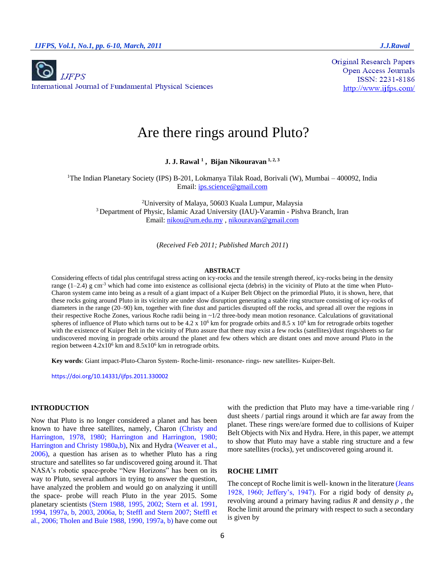

**Original Research Papers Open Access Journals** ISSN: 2231-8186 http://www.ijfps.com/

# Are there rings around Pluto?

**J. J. Rawal <sup>1</sup> , Bijan Nikouravan 1, 2, 3**

<sup>1</sup>The Indian Planetary Society (IPS) B-201, Lokmanya Tilak Road, Borivali (W), Mumbai – 400092, India Email: [ips.science@gmail.com](mailto:ips.science@gmail.com)

<sup>2</sup>University of Malaya, 50603 Kuala Lumpur, Malaysia <sup>3</sup> Department of Physic, Islamic Azad University (IAU)-Varamin - Pishva Branch, Iran Email: [nikou@um.edu.my](mailto:nikou@um.edu.my) , nikouravan@gmail.com

(*Received Feb 2011; Published March 2011*)

#### **ABSTRACT**

Considering effects of tidal plus centrifugal stress acting on icy-rocks and the tensile strength thereof, icy-rocks being in the density range  $(1-2.4)$  g cm<sup>-3</sup> which had come into existence as collisional ejecta (debris) in the vicinity of Pluto at the time when Pluto-Charon system came into being as a result of a giant impact of a Kuiper Belt Object on the primordial Pluto, it is shown, here, that these rocks going around Pluto in its vicinity are under slow disruption generating a stable ring structure consisting of icy-rocks of diameters in the range (20–90) km, together with fine dust and particles disrupted off the rocks, and spread all over the regions in their respective Roche Zones, various Roche radii being in  $\sim 1/2$  three-body mean motion resonance. Calculations of gravitational spheres of influence of Pluto which turns out to be 4.2 x  $10^6$  km for prograde orbits and 8.5 x  $10^6$  km for retrograde orbits together with the existence of Kuiper Belt in the vicinity of Pluto assure that there may exist a few rocks (satellites)/dust rings/sheets so far undiscovered moving in prograde orbits around the planet and few others which are distant ones and move around Pluto in the region between  $4.2x10^6$  km and  $8.5x10^6$  km in retrograde orbits.

**Key words**: Giant impact-Pluto-Charon System- Roche-limit- resonance- rings- new satellites- Kuiper-Belt.

https://doi.org/10.14331/ijfps.2011.330002

# **INTRODUCTION**

Now that Pluto is no longer considered a planet and has been known to have three satellites, namely, Charon (Christy and Harrington, 1978, 1980; Harrington and Harrington, 1980; Harrington and Christy 1980a,b), Nix and Hydra (Weaver et al., 2006), a question has arisen as to whether Pluto has a ring structure and satellites so far undiscovered going around it. That NASA's robotic space-probe "New Horizons" has been on its way to Pluto, several authors in trying to answer the question, have analyzed the problem and would go on analyzing it untill the space- probe will reach Pluto in the year 2015. Some planetary scientists (Stern 1988, 1995, 2002; Stern et al. 1991, 1994, 1997a, b, 2003, 2006a, b; Steffl and Stern 2007; Steffl et al., 2006; Tholen and Buie 1988, 1990, 1997a, b) have come out with the prediction that Pluto may have a time-variable ring / dust sheets / partial rings around it which are far away from the planet. These rings were/are formed due to collisions of Kuiper Belt Objects with Nix and Hydra. Here, in this paper, we attempt to show that Pluto may have a stable ring structure and a few more satellites (rocks), yet undiscovered going around it.

# **ROCHE LIMIT**

The concept of Roche limit is well- known in the literature (Jeans 1928, 1960; Jeffery's, 1947). For a rigid body of density  $\rho_s$ revolving around a primary having radius  $R$  and density  $\rho$ , the Roche limit around the primary with respect to such a secondary is given by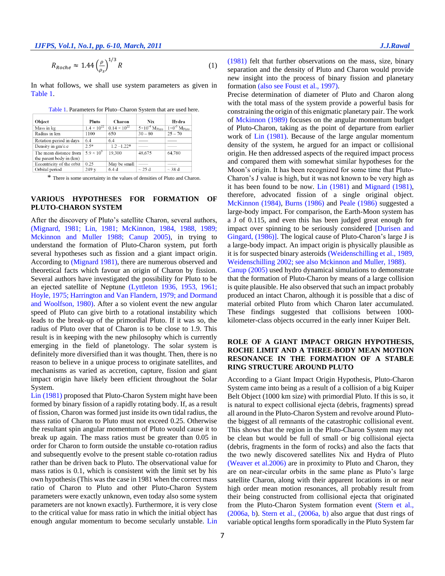*IJFPS, Vol.1, No.1, pp. 6-10, March, 2011*  $J.J.Rawal$ 

$$
R_{Roche} \approx 1.44 \left(\frac{\rho}{\rho_s}\right)^{1/3} R \tag{1}
$$

In what follows, we shall use system parameters as given in Table 1.

| Pluto                | Charon                | Nix                                 | Hydra                              |
|----------------------|-----------------------|-------------------------------------|------------------------------------|
| $1.4 \times 10^{22}$ | $0.14 \times 10^{22}$ | $5\times10^{-4}$ M <sub>Pluto</sub> | $1\times0^{-5}$ M <sub>Pluto</sub> |
| 1100                 | 650                   | $30 - 80$                           | $25 - 70$                          |
| 6.4                  | 6.4                   |                                     |                                    |
| $2.5*$               | $1.2 - 1.22*$         |                                     |                                    |
| $5.9 \times 10^{9}$  | 19,300                | 48,675                              | 64,780                             |
|                      |                       |                                     |                                    |
| 0.25                 | May be small          |                                     |                                    |
| 249y                 | 6.4 d                 | $\sim$ 25 d                         | $\sim$ 38 d                        |
|                      |                       |                                     |                                    |

| Table 1. Parameters for Pluto-Charon System that are used here. |  |
|-----------------------------------------------------------------|--|
|-----------------------------------------------------------------|--|

\* There is some uncertainty in the values of densities of Pluto and Charon.

## **VARIOUS HYPOTHESES FOR FORMATION OF PLUTO-CHARON SYSTEM**

After the discovery of Pluto's satellite Charon, several authors, (Mignard, 1981; Lin, 1981; McKinnon, 1984, 1988, 1989; Mckinnon and Muller 1988; Canup 2005), in trying to understand the formation of Pluto-Charon system, put forth several hypotheses such as fission and a giant impact origin. According to (Mignard 1981), there are numerous observed and theoretical facts which favour an origin of Charon by fission. Several authors have investigated the possibility for Pluto to be an ejected satellite of Neptune (Lyttleton 1936, 1953, 1961; Hoyle, 1975; Harrington and Van Flandern, 1979; and Dormand and Woolfson, 1980). After a so violent event the new angular speed of Pluto can give birth to a rotational instability which leads to the break-up of the primordial Pluto. If it was so, the radius of Pluto over that of Charon is to be close to 1.9. This result is in keeping with the new philosophy which is currently emerging in the field of planetology. The solar system is definitely more diversified than it was thought. Then, there is no reason to believe in a unique process to originate satellites, and mechanisms as varied as accretion, capture, fission and giant impact origin have likely been efficient throughout the Solar System.

Lin (1981) proposed that Pluto-Charon System might have been formed by binary fission of a rapidly rotating body. If, as a result of fission, Charon was formed just inside its own tidal radius, the mass ratio of Charon to Pluto must not exceed 0.25. Otherwise the resultant spin angular momentum of Pluto would cause it to break up again. The mass ratios must be greater than 0.05 in order for Charon to form outside the unstable co-rotation radius and subsequently evolve to the present stable co-rotation radius rather than be driven back to Pluto. The observational value for mass ratios is 0.1, which is consistent with the limit set by his own hypothesis (This was the case in 1981 when the correct mass ratio of Charon to Pluto and other Pluto-Charon System parameters were exactly unknown, even today also some system parameters are not known exactly). Furthermore, it is very close to the critical value for mass ratio in which the initial object has enough angular momentum to become secularly unstable. Lin (1981) felt that further observations on the mass, size, binary separation and the density of Pluto and Charon would provide new insight into the process of binary fission and planetary formation (also see Foust et al., 1997).

Precise determination of diameter of Pluto and Charon along with the total mass of the system provide a powerful basis for constraining the origin of this enigmatic planetary pair. The work of Mckinnon (1989) focuses on the angular momentum budget of Pluto-Charon, taking as the point of departure from earlier work of Lin (1981). Because of the large angular momentum density of the system, he argued for an impact or collisional origin. He then addressed aspects of the required impact process and compared them with somewhat similar hypotheses for the Moon's origin. It has been recognized for some time that Pluto-Charon's J value is high, but it was not known to be very high as it has been found to be now. Lin (1981) and Mignard (1981), therefore, advocated fission of a single original object. McKinnon (1984), Burns (1986) and Peale (1986) suggested a large-body impact. For comparison, the Earth-Moon system has a J of 0.115, and even this has been judged great enough for impact over spinning to be seriously considered [Durisen and Gingard, (1986)]. The logical cause of Pluto-Charon's large J is a large-body impact. An impact origin is physically plausible as it is for suspected binary asteroids (Weidenschilling et al., 1989, Weidenschilling 2002; see also Mckinnon and Muller, 1988). Canup (2005) used hydro dynamical simulations to demonstrate that the formation of Pluto-Charon by means of a large collision is quite plausible. He also observed that such an impact probably produced an intact Charon, although it is possible that a disc of material orbited Pluto from which Charon later accumulated. These findings suggested that collisions between 1000 kilometer-class objects occurred in the early inner Kuiper Belt.

# **ROLE OF A GIANT IMPACT ORIGIN HYPOTHESIS, ROCHE LIMIT AND A THREE-BODY MEAN MOTION RESONANCE IN THE FORMATION OF A STABLE RING STRUCTURE AROUND PLUTO**

According to a Giant Impact Origin Hypothesis, Pluto-Charon System came into being as a result of a collision of a big Kuiper Belt Object (1000 km size) with primordial Pluto. If this is so, it is natural to expect collisional ejecta (debris, fragments) spread all around in the Pluto-Charon System and revolve around Plutothe biggest of all remnants of the catastrophic collisional event. This shows that the region in the Pluto-Charon System may not be clean but would be full of small or big collisional ejecta (debris, fragments in the form of rocks) and also the facts that the two newly discovered satellites Nix and Hydra of Pluto (Weaver et al.2006) are in proximity to Pluto and Charon, they are on near-circular orbits in the same plane as Pluto's large satellite Charon, along with their apparent locations in or near high order mean motion resonances, all probably result from their being constructed from collisional ejecta that originated from the Pluto-Charon System formation event (Stern et al., (2006a, b). Stern et al., (2006a, b) also argue that dust rings of variable optical lengths form sporadically in the Pluto System far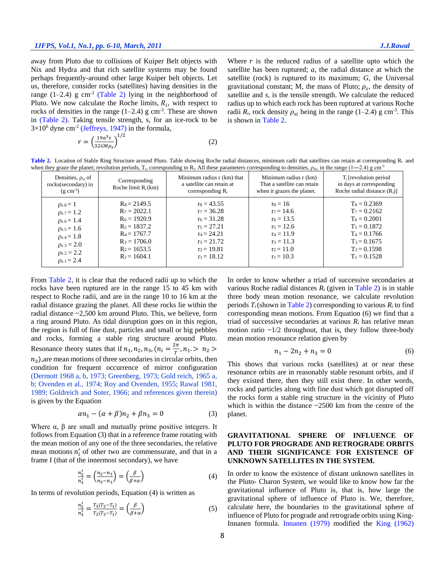away from Pluto due to collisions of Kuiper Belt objects with Nix and Hydra and that rich satellite systems may be found perhaps frequently-around other large Kuiper belt objects. Let us, therefore, consider rocks (satellites) having densities in the range  $(1-2.4)$  g cm<sup>-3</sup> (Table 2) lying in the neighborhood of Pluto. We now calculate the Roche limits,  $R_i$ , with respect to rocks of densities in the range  $(1-2.4)$  g cm<sup>-3</sup>. These are shown in (Table 2). Taking tensile strength, s, for an ice-rock to be  $3\times10^6$  dyne cm<sup>-2</sup> (Jeffreys, 1947) in the formula,

$$
r = \left(\frac{19a^3s}{32GM\rho_s}\right)^{1/2} \tag{2}
$$

Where  $r$  is the reduced radius of a satellite upto which the satellite has been ruptured; *a*, the radial distance at which the satellite (rock) is ruptured to its maximum; *G*, the Universal gravitational constant; M, the mass of Pluto;  $\rho_s$ , the density of satellite and *s,* is the tensile strength. We calculate the reduced radius up to which each rock has been ruptured at various Roche radii  $R_i$ , rock density  $\rho_{si}$  being in the range (1–2.4) g cm<sup>-3</sup>. This is shown in Table 2.

Table 2. Location of Stable Ring Structure around Pluto. Table showing Roche radial distances, minimum radii that satellites can retain at corresponding R<sub>i</sub> and when they graze the planet; revolution periods,  $T_i$ , corresponding to  $R_i$ . All these parameters corresponding to densities,  $\rho_{Si}$ , in the range (1–2.4) g cm<sup>-3</sup>

|                                                                                                                                                                                        | ------ p ---- ---, - <sub>1</sub> , ------ p                                                                                                 |                                                                                                                                      |                                                                                                                           |                                                                                                                                              |
|----------------------------------------------------------------------------------------------------------------------------------------------------------------------------------------|----------------------------------------------------------------------------------------------------------------------------------------------|--------------------------------------------------------------------------------------------------------------------------------------|---------------------------------------------------------------------------------------------------------------------------|----------------------------------------------------------------------------------------------------------------------------------------------|
| Densities, $\rho_{si}$ of<br>rocks(secondary) in<br>$(g \text{ cm}^{-3})$                                                                                                              | Corresponding<br>Roche limit $R_i(km)$                                                                                                       | Minimum radius r (km) that<br>a satellite can retain at<br>corresponding $R_i$                                                       | Minimum radius r (km)<br>That a satellite can retain<br>when it grazes the planet.                                        | $T_i$ [revolution period]<br>in days at corresponding<br>Roche radial distance $(R_i)$ ]                                                     |
| $\rho_s s = 1$<br>$\rho_s$ 7 = 1.2<br>$\rho_{s6} = 1.4$<br>$\rho_s$ 5 = 1.6<br>$\rho_{s,4} = 1.8$<br>$\rho$ <sub>s</sub> <sub>3</sub> = 2.0<br>$\rho_{s2} = 2.2$<br>$\rho_{s,1} = 2.4$ | $R_8 = 2149.5$<br>$R_7 = 2022.1$<br>$R_6 = 1920.9$<br>$R_5 = 1837.2$<br>$R_4 = 1767.7$<br>$R_3 = 1706.0$<br>$R_2$ = 1653.5<br>$R_1 = 1604.1$ | $r_8 = 43.55$<br>$r_7 = 36.28$<br>$r_6 = 31.28$<br>$r_5 = 27.21$<br>$r_4 = 24.21$<br>$r_3 = 21.72$<br>$r_2 = 19.81$<br>$r_1 = 18.12$ | $rs = 16$<br>$r_7 = 14.6$<br>$r_6 = 13.5$<br>$r_5 = 12.6$<br>$r_4 = 11.9$<br>$r_3 = 11.3$<br>$r_2 = 11.0$<br>$r_1 = 10.3$ | $T_8 = 0.2369$<br>$T_7 = 0.2162$<br>$T_6 = 0.2001$<br>$T_5 = 0.1872$<br>$T_4 = 0.1766$<br>$T_3 = 0.1675$<br>$T_2 = 0.1598$<br>$T_1 = 0.1528$ |

From Table 2, it is clear that the reduced radii up to which the rocks have been ruptured are in the range 15 to 45 km with respect to Roche radii, and are in the range 10 to 16 km at the radial distance grazing the planet. All these rocks lie within the radial distance ~2,500 km around Pluto. This, we believe, form a ring around Pluto. As tidal disruption goes on in this region, the region is full of fine dust, particles and small or big pebbles and rocks, forming a stable ring structure around Pluto. Resonance theory states that if  $n_1, n_2, n_3, (n_i = \frac{2\pi}{T_i})$  $\frac{n}{T}$ ,  $n_1 > n_2 >$  $n_3$ ), are mean motions of three secondaries in circular orbits, then condition for frequent occurrence of mirror configuration (Dermott 1968 a, b, 1973; Greenberg, 1973; Gold reich, 1965 a, b; Ovenden et al., 1974; Roy and Ovenden, 1955; Rawal 1981, 1989; Goldreich and Soter, 1966; and references given therein) is given by the Equation

$$
\alpha n_1 - (\alpha + \beta)n_2 + \beta n_3 = 0 \tag{3}
$$

Where  $\alpha$ ,  $\beta$  are small and mutually prime positive integers. It follows from Equation (3) that in a reference frame rotating with the mean motion of any one of the three secondaries, the relative mean motions  $n'_i$  of other two are commensurate, and that in a frame I (that of the innermost secondary), we have

$$
\frac{n_2'}{n_3'} = \left(\frac{n_2 - n_1}{n_3 - n_1}\right) = \left(\frac{\beta}{\beta + \alpha}\right)
$$
\n(4)

In terms of revolution periods, Equation (4) is written as

$$
\frac{n_2'}{n_3'} = \frac{T_3(T_2 - T_1)}{T_2(T_3 - T_1)} = \left(\frac{\beta}{\beta + \alpha}\right)
$$
(5)

In order to know whether a triad of successive secondaries at various Roche radial distances  $R_i$  (given in Table 2) is in stable three body mean motion resonance, we calculate revolution periods  $T_i$  (shown in Table 2) corresponding to various  $R_i$  to find corresponding mean motions. From Equation (6) we find that a triad of successive secondaries at various  $R_i$  has relative mean motion ratio  $\sim 1/2$  throughout, that is, they follow three-body mean motion resonance relation given by

$$
n_1 - 2n_2 + n_3 = 0 \tag{6}
$$

This shows that various rocks (satellites) at or near these resonance orbits are in reasonably stable resonant orbits, and if they existed there, then they still exist there. In other words, rocks and particles along with fine dust which got disrupted off the rocks form a stable ring structure in the vicinity of Pluto which is within the distance  $\sim$ 2500 km from the centre of the planet.

# **GRAVITATIONAL SPHERE OF INFLUENCE OF PLUTO FOR PROGRADE AND RETROGRADE ORBITS AND THEIR SIGNIFICANCE FOR EXISTENCE OF UNKNOWN SATELLITES IN THE SYSTEM.**

In order to know the existence of distant unknown satellites in the Pluto- Charon System, we would like to know how far the gravitational influence of Pluto is, that is, how large the gravitational sphere of influence of Pluto is. We, therefore, calculate here, the boundaries to the gravitational sphere of influence of Pluto for prograde and retrograde orbits using King-Innanen formula. Innanen (1979) modified the King (1962)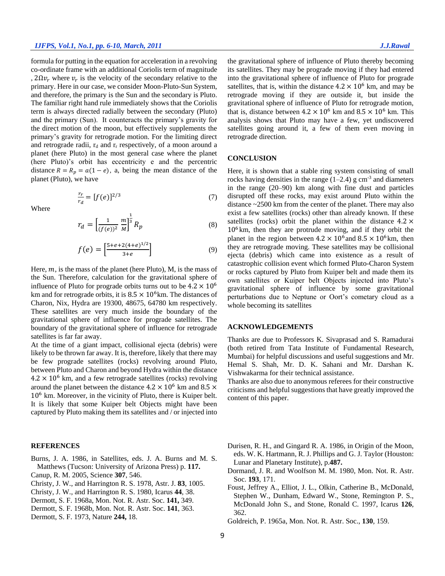formula for putting in the equation for acceleration in a revolving co-ordinate frame with an additional Coriolis term of magnitude ,  $2\Omega v_r$  where  $v_r$  is the velocity of the secondary relative to the primary. Here in our case, we consider Moon-Pluto-Sun System, and therefore, the primary is the Sun and the secondary is Pluto. The familiar right hand rule immediately shows that the Coriolis term is always directed radially between the secondary (Pluto) and the primary (Sun). It counteracts the primary's gravity for the direct motion of the moon, but effectively supplements the primary's gravity for retrograde motion. For the limiting direct and retrograde radii,  $r_d$  and  $r_r$  respectively, of a moon around a planet (here Pluto) in the most general case where the planet (here Pluto)'s orbit has eccentricity e and the percentric distance  $R = R_p = a(1 - e)$ , a, being the mean distance of the planet (Pluto), we have

$$
\frac{r_r}{r_d} = [f(e)]^{2/3} \tag{7}
$$

Where

$$
r_d = \left[\frac{1}{(f(e))^2} \frac{m}{M}\right]^{\frac{1}{3}} R_p \tag{8}
$$

$$
f(e) = \left[\frac{5 + e + 2(4 + e)^{1/2}}{3 + e}\right] \tag{9}
$$

Here,  $m$ , is the mass of the planet (here Pluto), M, is the mass of the Sun. Therefore, calculation for the gravitational sphere of influence of Pluto for prograde orbits turns out to be  $4.2 \times 10^6$ km and for retrograde orbits, it is  $8.5 \times 10^6$  km. The distances of Charon, Nix, Hydra are 19300, 48675, 64780 km respectively. These satellites are very much inside the boundary of the gravitational sphere of influence for prograde satellites. The boundary of the gravitational sphere of influence for retrograde satellites is far far away.

At the time of a giant impact, collisional ejecta (debris) were likely to be thrown far away. It is, therefore, likely that there may be few prograde satellites (rocks) revolving around Pluto, between Pluto and Charon and beyond Hydra within the distance  $4.2 \times 10^6$  km, and a few retrograde satellites (rocks) revolving around the planet between the distance  $4.2 \times 10^6$  km and  $8.5 \times$ 10<sup>6</sup> km. Moreover, in the vicinity of Pluto, there is Kuiper belt. It is likely that some Kuiper belt Objects might have been captured by Pluto making them its satellites and / or injected into

#### **REFERENCES**

- Burns, J. A. 1986, in Satellites, eds. J. A. Burns and M. S. Matthews (Tucson: University of Arizona Press) p. **117.**
- Canup, R. M. 2005, Science **307**, 546.
- Christy, J. W., and Harrington R. S. 1978, Astr. J. **83**, 1005.
- Christy, J. W., and Harrington R. S. 1980, Icarus **44**, 38.
- Dermott, S. F. 1968a, Mon. Not. R. Astr. Soc. **141,** 349.
- Dermott, S. F. 1968b, Mon. Not. R. Astr. Soc. **141**, 363.
- Dermott, S. F. 1973, Nature **244,** 18.

the gravitational sphere of influence of Pluto thereby becoming its satellites. They may be prograde moving if they had entered into the gravitational sphere of influence of Pluto for prograde satellites, that is, within the distance  $4.2 \times 10^6$  km, and may be retrograde moving if they are outside it, but inside the gravitational sphere of influence of Pluto for retrograde motion, that is, distance between  $4.2 \times 10^6$  km and  $8.5 \times 10^6$  km. This analysis shows that Pluto may have a few, yet undiscovered satellites going around it, a few of them even moving in retrograde direction.

#### **CONCLUSION**

Here, it is shown that a stable ring system consisting of small rocks having densities in the range  $(1-2.4)$  g cm<sup>-3</sup> and diameters in the range (20–90) km along with fine dust and particles disrupted off these rocks, may exist around Pluto within the distance ~2500 km from the center of the planet. There may also exist a few satellites (rocks) other than already known. If these satellites (rocks) orbit the planet within the distance  $4.2 \times$  $10<sup>6</sup>$  km, then they are protrude moving, and if they orbit the planet in the region between  $4.2 \times 10^6$  and  $8.5 \times 10^6$  km, then they are retrograde moving. These satellites may be collisional ejecta (debris) which came into existence as a result of catastrophic collision event which formed Pluto-Charon System or rocks captured by Pluto from Kuiper belt and made them its own satellites or Kuiper belt Objects injected into Pluto's gravitational sphere of influence by some gravitational perturbations due to Neptune or Oort's cometary cloud as a whole becoming its satellites

### **ACKNOWLEDGEMENTS**

Thanks are due to Professors K. Sivaprasad and S. Ramadurai (both retired from Tata Institute of Fundamental Research, Mumbai) for helpful discussions and useful suggestions and Mr. Hemal S. Shah, Mr. D. K. Sahani and Mr. Darshan K. Vishwakarma for their technical assistance.

Thanks are also due to anonymous referees for their constructive criticisms and helpful suggestions that have greatly improved the content of this paper.

- Durisen, R. H., and Gingard R. A. 1986, in Origin of the Moon, eds. W. K. Hartmann, R. J. Phillips and G. J. Taylor (Houston: Lunar and Planetary Institute), p.**487.**
- Dormand, J. R. and Woolfson M. M. 1980, Mon. Not. R. Astr. Soc. **193**, 171.
- Foust, Jeffrey A., Elliot, J. L., Olkin, Catherine B., McDonald, Stephen W., Dunham, Edward W., Stone, Remington P. S., McDonald John S., and Stone, Ronald C. 1997, Icarus **126**, 362.
- Goldreich, P. 1965a, Mon. Not. R. Astr. Soc., **130**, 159.